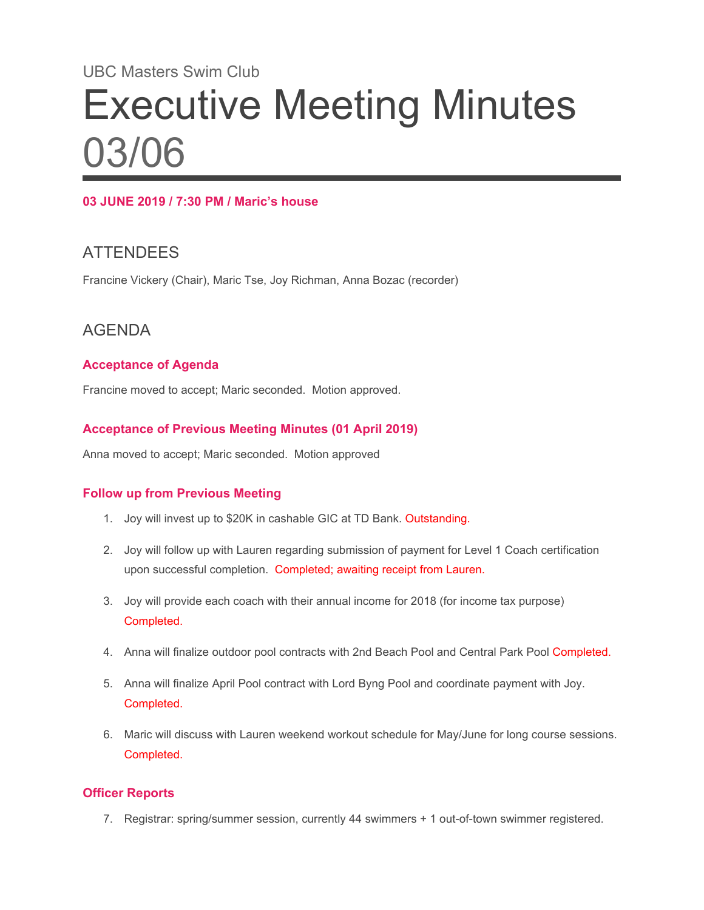# UBC Masters Swim Club Executive Meeting Minutes 03/06

#### **03 JUNE 2019 / 7:30 PM / Maric's house**

## **ATTENDEES**

Francine Vickery (Chair), Maric Tse, Joy Richman, Anna Bozac (recorder)

## AGENDA

#### **Acceptance of Agenda**

Francine moved to accept; Maric seconded. Motion approved.

#### **Acceptance of Previous Meeting Minutes (01 April 2019)**

Anna moved to accept; Maric seconded. Motion approved

#### **Follow up from Previous Meeting**

- 1. Joy will invest up to \$20K in cashable GIC at TD Bank. Outstanding.
- 2. Joy will follow up with Lauren regarding submission of payment for Level 1 Coach certification upon successful completion. Completed; awaiting receipt from Lauren.
- 3. Joy will provide each coach with their annual income for 2018 (for income tax purpose) Completed.
- 4. Anna will finalize outdoor pool contracts with 2nd Beach Pool and Central Park Pool Completed.
- 5. Anna will finalize April Pool contract with Lord Byng Pool and coordinate payment with Joy. Completed.
- 6. Maric will discuss with Lauren weekend workout schedule for May/June for long course sessions. Completed.

#### **Officer Reports**

7. Registrar: spring/summer session, currently 44 swimmers + 1 out-of-town swimmer registered.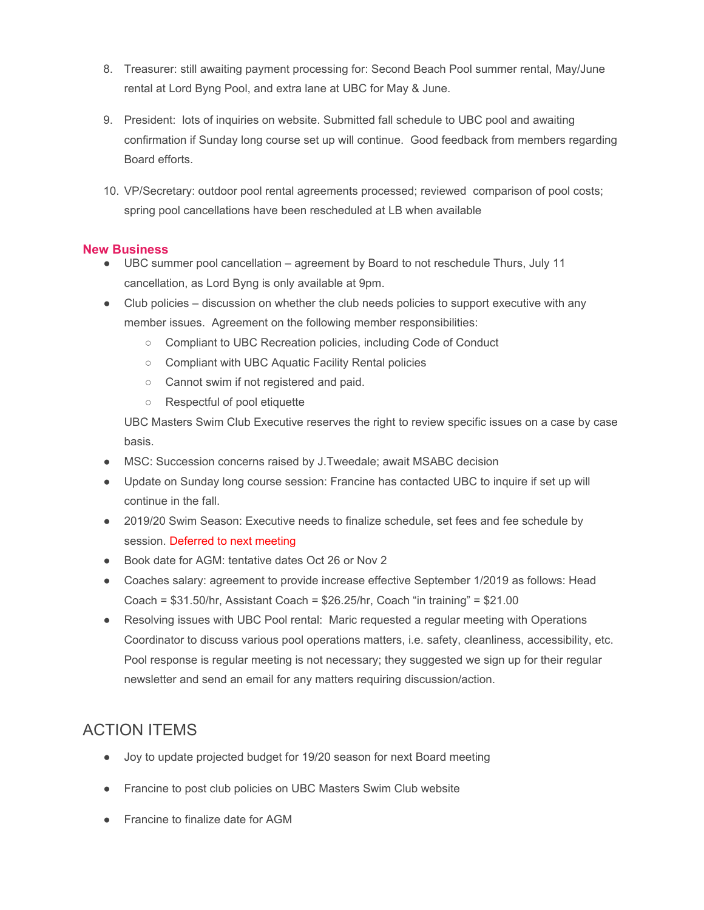- 8. Treasurer: still awaiting payment processing for: Second Beach Pool summer rental, May/June rental at Lord Byng Pool, and extra lane at UBC for May & June.
- 9. President: lots of inquiries on website. Submitted fall schedule to UBC pool and awaiting confirmation if Sunday long course set up will continue. Good feedback from members regarding Board efforts.
- 10. VP/Secretary: outdoor pool rental agreements processed; reviewed comparison of pool costs; spring pool cancellations have been rescheduled at LB when available

#### **New Business**

- UBC summer pool cancellation agreement by Board to not reschedule Thurs, July 11 cancellation, as Lord Byng is only available at 9pm.
- Club policies discussion on whether the club needs policies to support executive with any member issues. Agreement on the following member responsibilities:
	- Compliant to UBC Recreation policies, including Code of Conduct
	- Compliant with UBC Aquatic Facility Rental policies
	- Cannot swim if not registered and paid.
	- Respectful of pool etiquette

UBC Masters Swim Club Executive reserves the right to review specific issues on a case by case basis.

- MSC: Succession concerns raised by J.Tweedale; await MSABC decision
- Update on Sunday long course session: Francine has contacted UBC to inquire if set up will continue in the fall.
- 2019/20 Swim Season: Executive needs to finalize schedule, set fees and fee schedule by session. Deferred to next meeting
- Book date for AGM: tentative dates Oct 26 or Nov 2
- Coaches salary: agreement to provide increase effective September 1/2019 as follows: Head Coach = \$31.50/hr, Assistant Coach = \$26.25/hr, Coach "in training" = \$21.00
- Resolving issues with UBC Pool rental: Maric requested a regular meeting with Operations Coordinator to discuss various pool operations matters, i.e. safety, cleanliness, accessibility, etc. Pool response is regular meeting is not necessary; they suggested we sign up for their regular newsletter and send an email for any matters requiring discussion/action.

## ACTION ITEMS

- Joy to update projected budget for 19/20 season for next Board meeting
- Francine to post club policies on UBC Masters Swim Club website
- Francine to finalize date for AGM